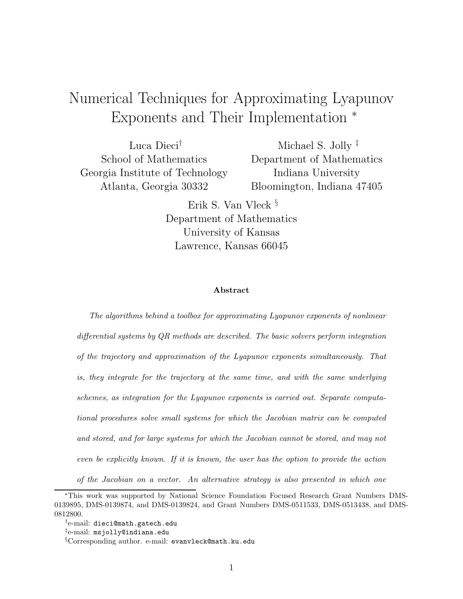## Numerical Techniques for Approximating Lyapunov Exponents and Their Implementation <sup>∗</sup>

Luca Dieci† School of Mathematics Georgia Institute of Technology Atlanta, Georgia 30332

Michael S. Jolly<sup> $\ddagger$ </sup> Department of Mathematics Indiana University Bloomington, Indiana 47405

Erik S. Van Vleck § Department of Mathematics University of Kansas Lawrence, Kansas 66045

#### Abstract

The algorithms behind a toolbox for approximating Lyapunov exponents of nonlinear differential systems by  $QR$  methods are described. The basic solvers perform integration of the trajectory and approximation of the Lyapunov exponents simultaneously. That is, they integrate for the trajectory at the same time, and with the same underlying schemes, as integration for the Lyapunov exponents is carried out. Separate computational procedures solve small systems for which the Jacobian matrix can be computed and stored, and for large systems for which the Jacobian cannot be stored, and may not even be explicitly known. If it is known, the user has the option to provide the action of the Jacobian on a vector. An alternative strategy is also presented in which one

<sup>∗</sup>This work was supported by National Science Foundation Focused Research Grant Numbers DMS-0139895, DMS-0139874, and DMS-0139824, and Grant Numbers DMS-0511533, DMS-0513438, and DMS-0812800.

<sup>†</sup> e-mail: dieci@math.gatech.edu

<sup>‡</sup> e-mail: msjolly@indiana.edu

<sup>§</sup>Corresponding author. e-mail: evanvleck@math.ku.edu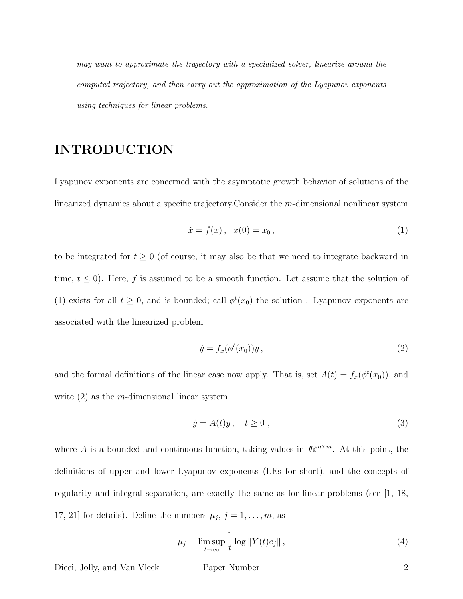may want to approximate the trajectory with a specialized solver, linearize around the computed trajectory, and then carry out the approximation of the Lyapunov exponents using techniques for linear problems.

## INTRODUCTION

Lyapunov exponents are concerned with the asymptotic growth behavior of solutions of the linearized dynamics about a specific trajectory.Consider the m-dimensional nonlinear system

$$
\dot{x} = f(x), \quad x(0) = x_0,
$$
\n(1)

to be integrated for  $t \geq 0$  (of course, it may also be that we need to integrate backward in time,  $t \leq 0$ ). Here, f is assumed to be a smooth function. Let assume that the solution of (1) exists for all  $t \geq 0$ , and is bounded; call  $\phi^t(x_0)$  the solution. Lyapunov exponents are associated with the linearized problem

$$
\dot{y} = f_x(\phi^t(x_0))y,\tag{2}
$$

and the formal definitions of the linear case now apply. That is, set  $A(t) = f_x(\phi^t(x_0))$ , and write  $(2)$  as the *m*-dimensional linear system

$$
\dot{y} = A(t)y, \quad t \ge 0,
$$
\n(3)

where A is a bounded and continuous function, taking values in  $\mathbb{R}^{m \times m}$ . At this point, the definitions of upper and lower Lyapunov exponents (LEs for short), and the concepts of regularity and integral separation, are exactly the same as for linear problems (see [1, 18, 17, 21] for details). Define the numbers  $\mu_j$ ,  $j = 1, \ldots, m$ , as

$$
\mu_j = \limsup_{t \to \infty} \frac{1}{t} \log ||Y(t)e_j||,
$$
\n(4)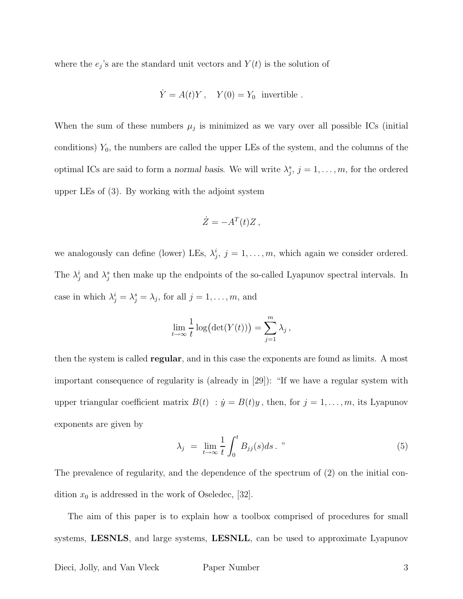where the  $e_j$ 's are the standard unit vectors and  $Y(t)$  is the solution of

$$
\dot{Y} = A(t)Y, \quad Y(0) = Y_0 \text{ invertible }.
$$

When the sum of these numbers  $\mu_j$  is minimized as we vary over all possible ICs (initial conditions)  $Y_0$ , the numbers are called the upper LEs of the system, and the columns of the optimal ICs are said to form a normal basis. We will write  $\lambda_j^s$ ,  $j = 1, \ldots, m$ , for the ordered upper LEs of (3). By working with the adjoint system

$$
\dot{Z} = -A^T(t)Z,
$$

we analogously can define (lower) LEs,  $\lambda_j^i$ ,  $j = 1, \ldots, m$ , which again we consider ordered. The  $\lambda_j^i$  and  $\lambda_j^s$  then make up the endpoints of the so-called Lyapunov spectral intervals. In case in which  $\lambda_j^i = \lambda_j^s = \lambda_j$ , for all  $j = 1, \ldots, m$ , and

$$
\lim_{t \to \infty} \frac{1}{t} \log (\det(Y(t))) = \sum_{j=1}^{m} \lambda_j,
$$

then the system is called regular, and in this case the exponents are found as limits. A most important consequence of regularity is (already in [29]): "If we have a regular system with upper triangular coefficient matrix  $B(t)$ :  $\dot{y} = B(t)y$ , then, for  $j = 1, ..., m$ , its Lyapunov exponents are given by

$$
\lambda_j = \lim_{t \to \infty} \frac{1}{t} \int_0^t B_{jj}(s) ds. \tag{5}
$$

The prevalence of regularity, and the dependence of the spectrum of (2) on the initial condition  $x_0$  is addressed in the work of Oseledec, [32].

The aim of this paper is to explain how a toolbox comprised of procedures for small systems, LESNLS, and large systems, LESNLL, can be used to approximate Lyapunov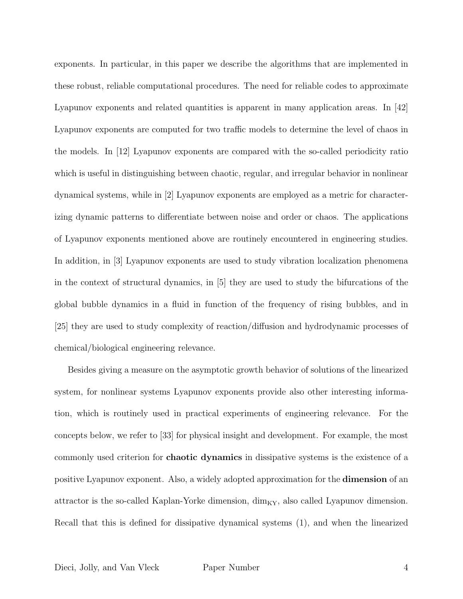exponents. In particular, in this paper we describe the algorithms that are implemented in these robust, reliable computational procedures. The need for reliable codes to approximate Lyapunov exponents and related quantities is apparent in many application areas. In [42] Lyapunov exponents are computed for two traffic models to determine the level of chaos in the models. In [12] Lyapunov exponents are compared with the so-called periodicity ratio which is useful in distinguishing between chaotic, regular, and irregular behavior in nonlinear dynamical systems, while in [2] Lyapunov exponents are employed as a metric for characterizing dynamic patterns to differentiate between noise and order or chaos. The applications of Lyapunov exponents mentioned above are routinely encountered in engineering studies. In addition, in [3] Lyapunov exponents are used to study vibration localization phenomena in the context of structural dynamics, in [5] they are used to study the bifurcations of the global bubble dynamics in a fluid in function of the frequency of rising bubbles, and in [25] they are used to study complexity of reaction/diffusion and hydrodynamic processes of chemical/biological engineering relevance.

Besides giving a measure on the asymptotic growth behavior of solutions of the linearized system, for nonlinear systems Lyapunov exponents provide also other interesting information, which is routinely used in practical experiments of engineering relevance. For the concepts below, we refer to [33] for physical insight and development. For example, the most commonly used criterion for chaotic dynamics in dissipative systems is the existence of a positive Lyapunov exponent. Also, a widely adopted approximation for the dimension of an attractor is the so-called Kaplan-Yorke dimension,  $\dim_{\rm KY}$ , also called Lyapunov dimension. Recall that this is defined for dissipative dynamical systems (1), and when the linearized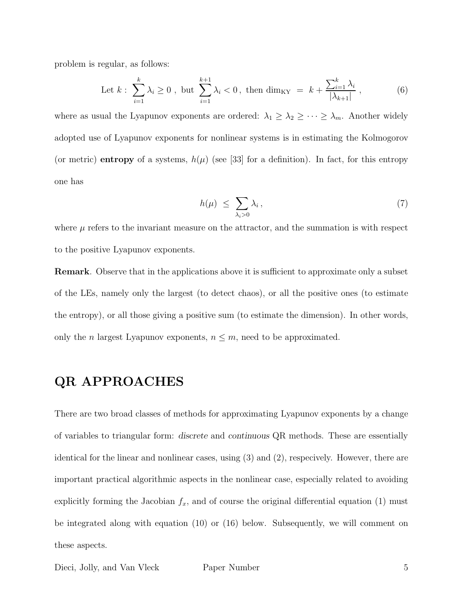problem is regular, as follows:

Let 
$$
k: \sum_{i=1}^{k} \lambda_i \ge 0
$$
, but  $\sum_{i=1}^{k+1} \lambda_i < 0$ , then  $\dim_{\text{KY}} = k + \frac{\sum_{i=1}^{k} \lambda_i}{|\lambda_{k+1}|}$ , (6)

where as usual the Lyapunov exponents are ordered:  $\lambda_1 \geq \lambda_2 \geq \cdots \geq \lambda_m$ . Another widely adopted use of Lyapunov exponents for nonlinear systems is in estimating the Kolmogorov (or metric) entropy of a systems,  $h(\mu)$  (see [33] for a definition). In fact, for this entropy one has

$$
h(\mu) \leq \sum_{\lambda_i > 0} \lambda_i \,, \tag{7}
$$

where  $\mu$  refers to the invariant measure on the attractor, and the summation is with respect to the positive Lyapunov exponents.

Remark. Observe that in the applications above it is sufficient to approximate only a subset of the LEs, namely only the largest (to detect chaos), or all the positive ones (to estimate the entropy), or all those giving a positive sum (to estimate the dimension). In other words, only the *n* largest Lyapunov exponents,  $n \leq m$ , need to be approximated.

## QR APPROACHES

There are two broad classes of methods for approximating Lyapunov exponents by a change of variables to triangular form: discrete and continuous QR methods. These are essentially identical for the linear and nonlinear cases, using (3) and (2), respecively. However, there are important practical algorithmic aspects in the nonlinear case, especially related to avoiding explicitly forming the Jacobian  $f_x$ , and of course the original differential equation (1) must be integrated along with equation (10) or (16) below. Subsequently, we will comment on these aspects.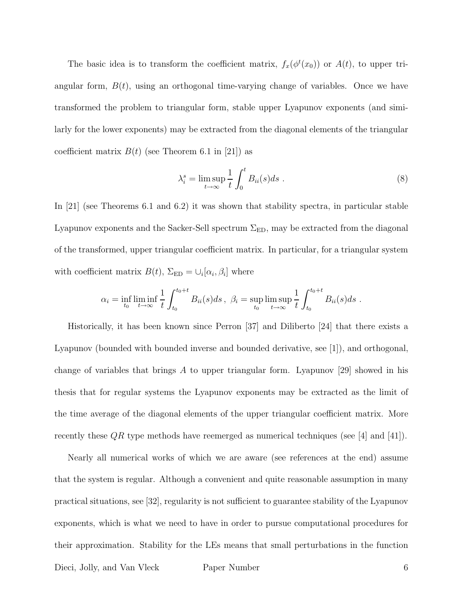The basic idea is to transform the coefficient matrix,  $f_x(\phi^t(x_0))$  or  $A(t)$ , to upper triangular form,  $B(t)$ , using an orthogonal time-varying change of variables. Once we have transformed the problem to triangular form, stable upper Lyapunov exponents (and similarly for the lower exponents) may be extracted from the diagonal elements of the triangular coefficient matrix  $B(t)$  (see Theorem 6.1 in [21]) as

$$
\lambda_i^s = \limsup_{t \to \infty} \frac{1}{t} \int_0^t B_{ii}(s) ds . \tag{8}
$$

In [21] (see Theorems 6.1 and 6.2) it was shown that stability spectra, in particular stable Lyapunov exponents and the Sacker-Sell spectrum  $\Sigma_{\rm ED}$ , may be extracted from the diagonal of the transformed, upper triangular coefficient matrix. In particular, for a triangular system with coefficient matrix  $B(t)$ ,  $\Sigma_{ED} = \bigcup_i [\alpha_i, \beta_i]$  where

$$
\alpha_i = \inf_{t_0} \liminf_{t \to \infty} \frac{1}{t} \int_{t_0}^{t_0+t} B_{ii}(s)ds \ , \ \beta_i = \sup_{t_0} \limsup_{t \to \infty} \frac{1}{t} \int_{t_0}^{t_0+t} B_{ii}(s)ds \ .
$$

Historically, it has been known since Perron [37] and Diliberto [24] that there exists a Lyapunov (bounded with bounded inverse and bounded derivative, see [1]), and orthogonal, change of variables that brings A to upper triangular form. Lyapunov [29] showed in his thesis that for regular systems the Lyapunov exponents may be extracted as the limit of the time average of the diagonal elements of the upper triangular coefficient matrix. More recently these  $QR$  type methods have reemerged as numerical techniques (see [4] and [41]).

Nearly all numerical works of which we are aware (see references at the end) assume that the system is regular. Although a convenient and quite reasonable assumption in many practical situations, see [32], regularity is not sufficient to guarantee stability of the Lyapunov exponents, which is what we need to have in order to pursue computational procedures for their approximation. Stability for the LEs means that small perturbations in the function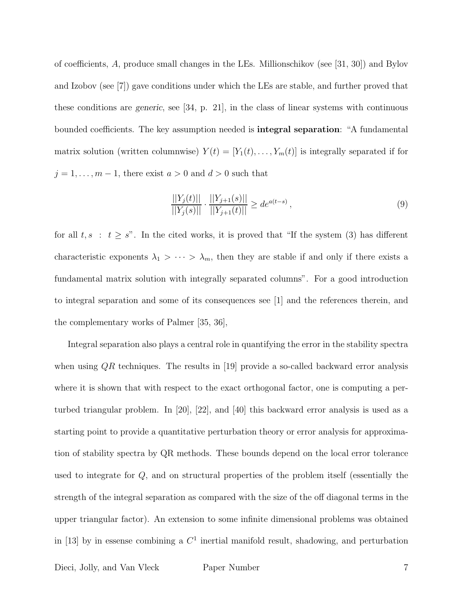of coefficients, A, produce small changes in the LEs. Millionschikov (see [31, 30]) and Bylov and Izobov (see [7]) gave conditions under which the LEs are stable, and further proved that these conditions are generic, see [34, p. 21], in the class of linear systems with continuous bounded coefficients. The key assumption needed is integral separation: "A fundamental matrix solution (written columnwise)  $Y(t) = [Y_1(t), \ldots, Y_m(t)]$  is integrally separated if for  $j = 1, \ldots, m - 1$ , there exist  $a > 0$  and  $d > 0$  such that

$$
\frac{||Y_j(t)||}{||Y_j(s)||} \cdot \frac{||Y_{j+1}(s)||}{||Y_{j+1}(t)||} \geq de^{a(t-s)},
$$
\n(9)

for all  $t, s : t \geq s$ ". In the cited works, it is proved that "If the system (3) has different characteristic exponents  $\lambda_1 > \cdots > \lambda_m$ , then they are stable if and only if there exists a fundamental matrix solution with integrally separated columns". For a good introduction to integral separation and some of its consequences see [1] and the references therein, and the complementary works of Palmer [35, 36],

Integral separation also plays a central role in quantifying the error in the stability spectra when using  $QR$  techniques. The results in [19] provide a so-called backward error analysis where it is shown that with respect to the exact orthogonal factor, one is computing a perturbed triangular problem. In [20], [22], and [40] this backward error analysis is used as a starting point to provide a quantitative perturbation theory or error analysis for approximation of stability spectra by QR methods. These bounds depend on the local error tolerance used to integrate for Q, and on structural properties of the problem itself (essentially the strength of the integral separation as compared with the size of the off diagonal terms in the upper triangular factor). An extension to some infinite dimensional problems was obtained in [13] by in essense combining a  $C<sup>1</sup>$  inertial manifold result, shadowing, and perturbation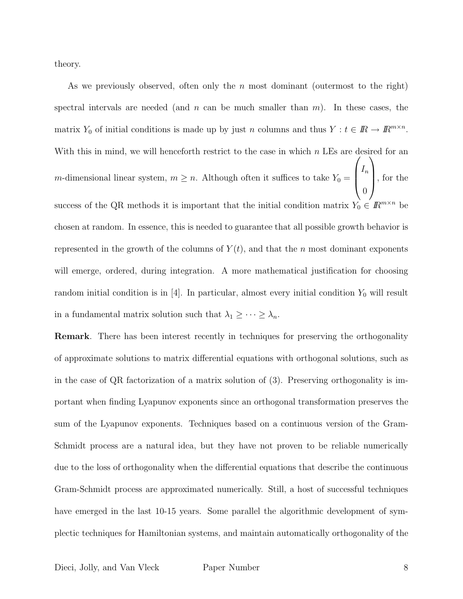theory.

As we previously observed, often only the n most dominant (outermost to the right) spectral intervals are needed (and n can be much smaller than  $m$ ). In these cases, the matrix  $Y_0$  of initial conditions is made up by just n columns and thus  $Y : t \in \mathbb{R} \to \mathbb{R}^{m \times n}$ . With this in mind, we will henceforth restrict to the case in which  $n$  LEs are desired for an *m*-dimensional linear system,  $m \geq n$ . Although often it suffices to take  $Y_0 =$  $\sqrt{ }$  $\overline{\phantom{a}}$  $I_n$ 0  $\setminus$  , for the success of the QR methods it is important that the initial condition matrix  $Y_0 \in \mathbb{R}^{m \times n}$  be chosen at random. In essence, this is needed to guarantee that all possible growth behavior is represented in the growth of the columns of  $Y(t)$ , and that the n most dominant exponents will emerge, ordered, during integration. A more mathematical justification for choosing random initial condition is in  $[4]$ . In particular, almost every initial condition  $Y_0$  will result in a fundamental matrix solution such that  $\lambda_1 \geq \cdots \geq \lambda_n$ .

Remark. There has been interest recently in techniques for preserving the orthogonality of approximate solutions to matrix differential equations with orthogonal solutions, such as in the case of QR factorization of a matrix solution of (3). Preserving orthogonality is important when finding Lyapunov exponents since an orthogonal transformation preserves the sum of the Lyapunov exponents. Techniques based on a continuous version of the Gram-Schmidt process are a natural idea, but they have not proven to be reliable numerically due to the loss of orthogonality when the differential equations that describe the continuous Gram-Schmidt process are approximated numerically. Still, a host of successful techniques have emerged in the last 10-15 years. Some parallel the algorithmic development of symplectic techniques for Hamiltonian systems, and maintain automatically orthogonality of the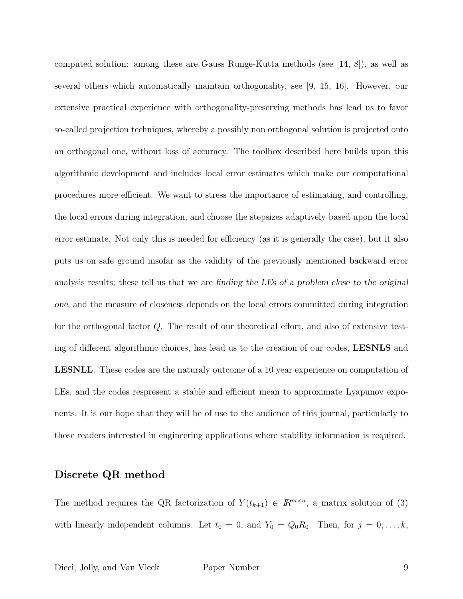computed solution: among these are Gauss Runge-Kutta methods (see [14, 8]), as well as several others which automatically maintain orthogonality, see [9, 15, 16]. However, our extensive practical experience with orthogonality-preserving methods has lead us to favor so-called projection techniques, whereby a possibly non orthogonal solution is projected onto an orthogonal one, without loss of accuracy. The toolbox described here builds upon this algorithmic development and includes local error estimates which make our computational procedures more efficient. We want to stress the importance of estimating, and controlling, the local errors during integration, and choose the stepsizes adaptively based upon the local error estimate. Not only this is needed for efficiency (as it is generally the case), but it also puts us on safe ground insofar as the validity of the previously mentioned backward error analysis results; these tell us that we are finding the LEs of a problem close to the original one, and the measure of closeness depends on the local errors committed during integration for the orthogonal factor Q. The result of our theoretical effort, and also of extensive testing of different algorithmic choices, has lead us to the creation of our codes, LESNLS and LESNLL. These codes are the naturaly outcome of a 10 year experience on computation of LEs, and the codes respresent a stable and efficient mean to approximate Lyapunov exponents. It is our hope that they will be of use to the audience of this journal, particularly to those readers interested in engineering applications where stability information is required.

#### Discrete QR method

The method requires the QR factorization of  $Y(t_{k+1}) \in \mathbb{R}^{m \times n}$ , a matrix solution of (3) with linearly independent columns. Let  $t_0 = 0$ , and  $Y_0 = Q_0 R_0$ . Then, for  $j = 0, ..., k$ ,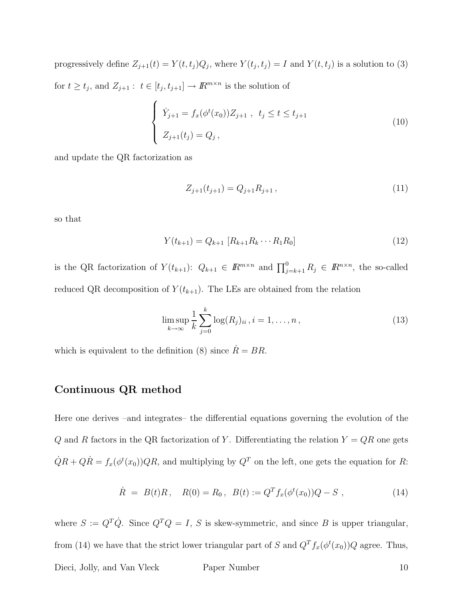progressively define  $Z_{j+1}(t) = Y(t,t_j)Q_j$ , where  $Y(t_j,t_j) = I$  and  $Y(t,t_j)$  is a solution to (3) for  $t \ge t_j$ , and  $Z_{j+1}$ :  $t \in [t_j, t_{j+1}] \to \mathbb{R}^{m \times n}$  is the solution of

$$
\begin{cases}\n\dot{Y}_{j+1} = f_x(\phi^t(x_0))Z_{j+1} , & t_j \le t \le t_{j+1} \\
Z_{j+1}(t_j) = Q_j,\n\end{cases}
$$
\n(10)

and update the QR factorization as

$$
Z_{j+1}(t_{j+1}) = Q_{j+1} R_{j+1}, \qquad (11)
$$

so that

$$
Y(t_{k+1}) = Q_{k+1} [R_{k+1} R_k \cdots R_1 R_0]
$$
\n(12)

is the QR factorization of  $Y(t_{k+1})$ :  $Q_{k+1} \in I\!\!R^{m \times n}$  and  $\prod_{j=k+1}^{0} R_j \in I\!\!R^{n \times n}$ , the so-called reduced QR decomposition of  $Y(t_{k+1})$ . The LEs are obtained from the relation

$$
\limsup_{k \to \infty} \frac{1}{k} \sum_{j=0}^{k} \log(R_j)_{ii}, i = 1, ..., n,
$$
\n(13)

which is equivalent to the definition (8) since  $\dot{R} = BR$ .

#### Continuous QR method

Here one derives –and integrates– the differential equations governing the evolution of the Q and R factors in the QR factorization of Y. Differentiating the relation  $Y = QR$  one gets  $\dot{Q}R + Q\dot{R} = f_x(\phi^t(x_0))QR$ , and multiplying by  $Q^T$  on the left, one gets the equation for R:

$$
\dot{R} = B(t)R, \quad R(0) = R_0, \quad B(t) := Q^T f_x(\phi^t(x_0))Q - S \tag{14}
$$

where  $S := Q^T \dot{Q}$ . Since  $Q^T Q = I$ , S is skew-symmetric, and since B is upper triangular, from (14) we have that the strict lower triangular part of S and  $Q^T f_x(\phi^t(x_0))Q$  agree. Thus, Dieci, Jolly, and Van Vleck Paper Number 10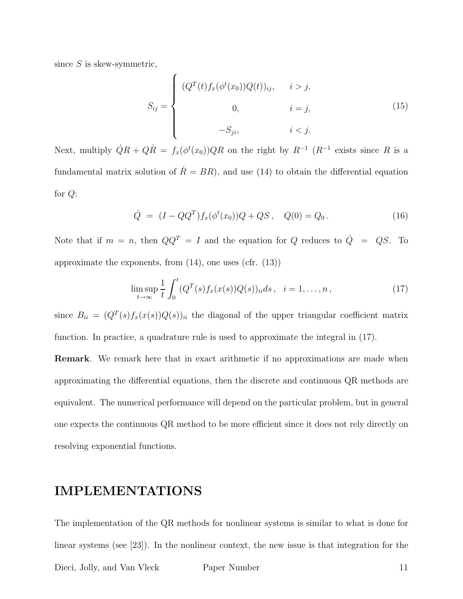since  $S$  is skew-symmetric,

$$
S_{ij} = \begin{cases} (Q^{T}(t) f_{x}(\phi^{t}(x_{0})) Q(t))_{ij}, & i > j, \\ 0, & i = j, \\ -S_{ji}, & i < j. \end{cases}
$$
 (15)

Next, multiply  $\dot{Q}R + Q\dot{R} = f_x(\phi^t(x_0))QR$  on the right by  $R^{-1}$   $(R^{-1}$  exists since R is a fundamental matrix solution of  $\dot{R} = BR$ , and use (14) to obtain the differential equation for Q:

$$
\dot{Q} = (I - QQ^T) f_x(\phi^t(x_0)) Q + QS \,, \quad Q(0) = Q_0 \,. \tag{16}
$$

Note that if  $m = n$ , then  $QQ^T = I$  and the equation for Q reduces to  $\dot{Q} = QS$ . To approximate the exponents, from  $(14)$ , one uses  $(cfr. (13))$ 

$$
\limsup_{t \to \infty} \frac{1}{t} \int_0^t (Q^T(s) f_x(x(s)) Q(s))_{ii} ds, \quad i = 1, \dots, n,
$$
\n(17)

since  $B_{ii} = (Q^T(s) f_x(x(s)) Q(s))_{ii}$  the diagonal of the upper triangular coefficient matrix function. In practice, a quadrature rule is used to approximate the integral in (17).

Remark. We remark here that in exact arithmetic if no approximations are made when approximating the differential equations, then the discrete and continuous QR methods are equivalent. The numerical performance will depend on the particular problem, but in general one expects the continuous QR method to be more efficient since it does not rely directly on resolving exponential functions.

## IMPLEMENTATIONS

The implementation of the QR methods for nonlinear systems is similar to what is done for linear systems (see [23]). In the nonlinear context, the new issue is that integration for the Dieci, Jolly, and Van Vleck Paper Number 11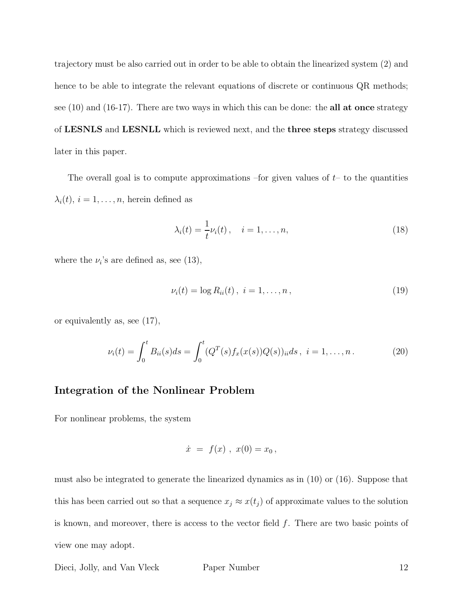trajectory must be also carried out in order to be able to obtain the linearized system (2) and hence to be able to integrate the relevant equations of discrete or continuous QR methods; see  $(10)$  and  $(16-17)$ . There are two ways in which this can be done: the **all at once** strategy of LESNLS and LESNLL which is reviewed next, and the three steps strategy discussed later in this paper.

The overall goal is to compute approximations –for given values of  $t-$  to the quantities  $\lambda_i(t), i = 1, \ldots, n$ , herein defined as

$$
\lambda_i(t) = \frac{1}{t} \nu_i(t), \quad i = 1, \dots, n,
$$
\n(18)

where the  $\nu_i$ 's are defined as, see (13),

$$
\nu_i(t) = \log R_{ii}(t), \ i = 1, \dots, n, \tag{19}
$$

or equivalently as, see (17),

$$
\nu_i(t) = \int_0^t B_{ii}(s)ds = \int_0^t (Q^T(s)f_x(x(s))Q(s))_{ii}ds, \ i = 1,\dots, n. \tag{20}
$$

#### Integration of the Nonlinear Problem

For nonlinear problems, the system

$$
\dot{x} = f(x) , x(0) = x_0 ,
$$

must also be integrated to generate the linearized dynamics as in (10) or (16). Suppose that this has been carried out so that a sequence  $x_j \approx x(t_j)$  of approximate values to the solution is known, and moreover, there is access to the vector field f. There are two basic points of view one may adopt.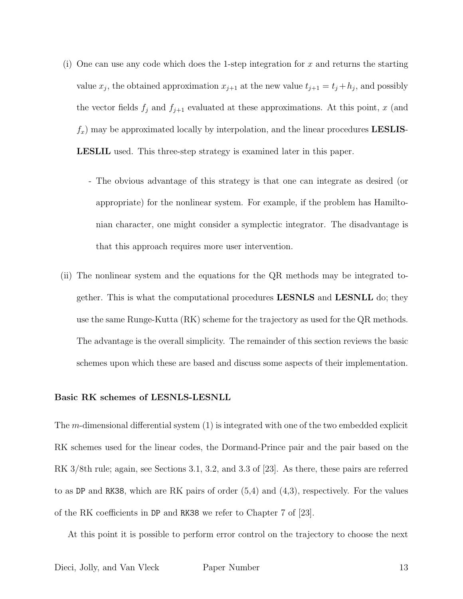- (i) One can use any code which does the 1-step integration for  $x$  and returns the starting value  $x_j$ , the obtained approximation  $x_{j+1}$  at the new value  $t_{j+1} = t_j + h_j$ , and possibly the vector fields  $f_j$  and  $f_{j+1}$  evaluated at these approximations. At this point, x (and  $f_x$ ) may be approximated locally by interpolation, and the linear procedures **LESLIS**-LESLIL used. This three-step strategy is examined later in this paper.
	- The obvious advantage of this strategy is that one can integrate as desired (or appropriate) for the nonlinear system. For example, if the problem has Hamiltonian character, one might consider a symplectic integrator. The disadvantage is that this approach requires more user intervention.
- (ii) The nonlinear system and the equations for the QR methods may be integrated together. This is what the computational procedures LESNLS and LESNLL do; they use the same Runge-Kutta (RK) scheme for the trajectory as used for the QR methods. The advantage is the overall simplicity. The remainder of this section reviews the basic schemes upon which these are based and discuss some aspects of their implementation.

#### Basic RK schemes of LESNLS-LESNLL

The m-dimensional differential system (1) is integrated with one of the two embedded explicit RK schemes used for the linear codes, the Dormand-Prince pair and the pair based on the RK 3/8th rule; again, see Sections 3.1, 3.2, and 3.3 of [23]. As there, these pairs are referred to as DP and RK38, which are RK pairs of order (5,4) and (4,3), respectively. For the values of the RK coefficients in DP and RK38 we refer to Chapter 7 of [23].

At this point it is possible to perform error control on the trajectory to choose the next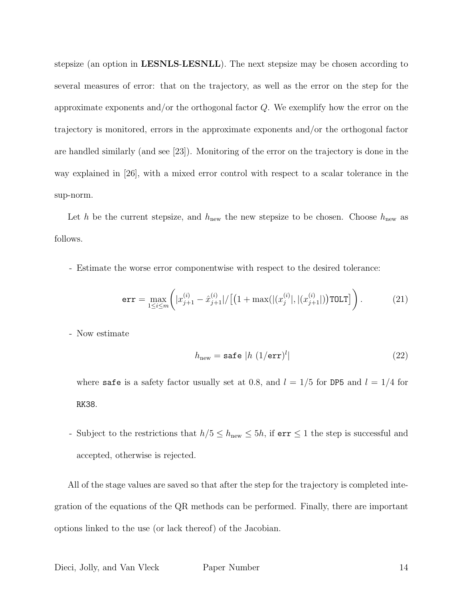stepsize (an option in LESNLS-LESNLL). The next stepsize may be chosen according to several measures of error: that on the trajectory, as well as the error on the step for the approximate exponents and/or the orthogonal factor  $Q$ . We exemplify how the error on the trajectory is monitored, errors in the approximate exponents and/or the orthogonal factor are handled similarly (and see [23]). Monitoring of the error on the trajectory is done in the way explained in [26], with a mixed error control with respect to a scalar tolerance in the sup-norm.

Let h be the current stepsize, and  $h_{\text{new}}$  the new stepsize to be chosen. Choose  $h_{\text{new}}$  as follows.

- Estimate the worse error componentwise with respect to the desired tolerance:

$$
\text{err} = \max_{1 \le i \le m} \left( |x_{j+1}^{(i)} - \hat{x}_{j+1}^{(i)}| / \left[ \left( 1 + \max(|(x_j^{(i)}|, |(x_{j+1}^{(i)}|)) \text{TOLT} \right] \right) . \right. \tag{21}
$$

- Now estimate

$$
h_{\text{new}} = \text{safe } |h \ (1/\text{err})^l| \tag{22}
$$

where safe is a safety factor usually set at 0.8, and  $l = 1/5$  for DP5 and  $l = 1/4$  for RK38.

- Subject to the restrictions that  $h/5 \leq h_{\text{new}} \leq 5h$ , if  $err \leq 1$  the step is successful and accepted, otherwise is rejected.

All of the stage values are saved so that after the step for the trajectory is completed integration of the equations of the QR methods can be performed. Finally, there are important options linked to the use (or lack thereof) of the Jacobian.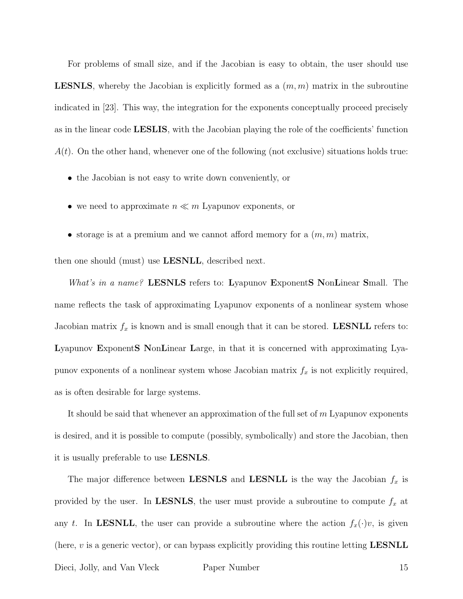For problems of small size, and if the Jacobian is easy to obtain, the user should use **LESNLS**, whereby the Jacobian is explicitly formed as a  $(m, m)$  matrix in the subroutine indicated in [23]. This way, the integration for the exponents conceptually proceed precisely as in the linear code LESLIS, with the Jacobian playing the role of the coefficients' function  $A(t)$ . On the other hand, whenever one of the following (not exclusive) situations holds true:

- the Jacobian is not easy to write down conveniently, or
- we need to approximate  $n \ll m$  Lyapunov exponents, or
- storage is at a premium and we cannot afford memory for a  $(m, m)$  matrix,

then one should (must) use LESNLL, described next.

What's in a name? LESNLS refers to: Lyapunov ExponentS NonLinear Small. The name reflects the task of approximating Lyapunov exponents of a nonlinear system whose Jacobian matrix  $f_x$  is known and is small enough that it can be stored. **LESNLL** refers to: Lyapunov ExponentS NonLinear Large, in that it is concerned with approximating Lyapunov exponents of a nonlinear system whose Jacobian matrix  $f_x$  is not explicitly required, as is often desirable for large systems.

It should be said that whenever an approximation of the full set of  $m$  Lyapunov exponents is desired, and it is possible to compute (possibly, symbolically) and store the Jacobian, then it is usually preferable to use LESNLS.

The major difference between LESNLS and LESNLL is the way the Jacobian  $f_x$  is provided by the user. In LESNLS, the user must provide a subroutine to compute  $f_x$  at any t. In LESNLL, the user can provide a subroutine where the action  $f_x(\cdot)v$ , is given (here,  $v$  is a generic vector), or can bypass explicitly providing this routine letting **LESNLL**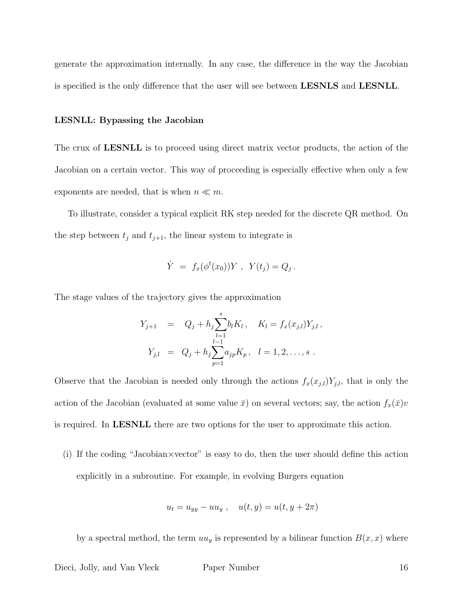generate the approximation internally. In any case, the difference in the way the Jacobian is specified is the only difference that the user will see between LESNLS and LESNLL.

#### LESNLL: Bypassing the Jacobian

The crux of LESNLL is to proceed using direct matrix vector products, the action of the Jacobian on a certain vector. This way of proceeding is especially effective when only a few exponents are needed, that is when  $n \ll m$ .

To illustrate, consider a typical explicit RK step needed for the discrete QR method. On the step between  $t_j$  and  $t_{j+1}$ , the linear system to integrate is

$$
\dot{Y} = f_x(\phi^t(x_0))Y, \ Y(t_j) = Q_j.
$$

The stage values of the trajectory gives the approximation

$$
Y_{j+1} = Q_j + h_j \sum_{l=1}^s b_l K_l, \quad K_l = f_x(x_{j,l}) Y_{j,l},
$$
  

$$
Y_{j,l} = Q_j + h_j \sum_{p=1}^{l-1} a_{jp} K_p, \quad l = 1, 2, ..., s.
$$

Observe that the Jacobian is needed only through the actions  $f_x(x_{j,l})Y_{j,l}$ , that is only the action of the Jacobian (evaluated at some value  $\bar{x}$ ) on several vectors; say, the action  $f_x(\bar{x})v$ is required. In LESNLL there are two options for the user to approximate this action.

(i) If the coding "Jacobian×vector" is easy to do, then the user should define this action explicitly in a subroutine. For example, in evolving Burgers equation

$$
u_t = u_{yy} - uu_y , \quad u(t, y) = u(t, y + 2\pi)
$$

by a spectral method, the term  $uu_y$  is represented by a bilinear function  $B(x, x)$  where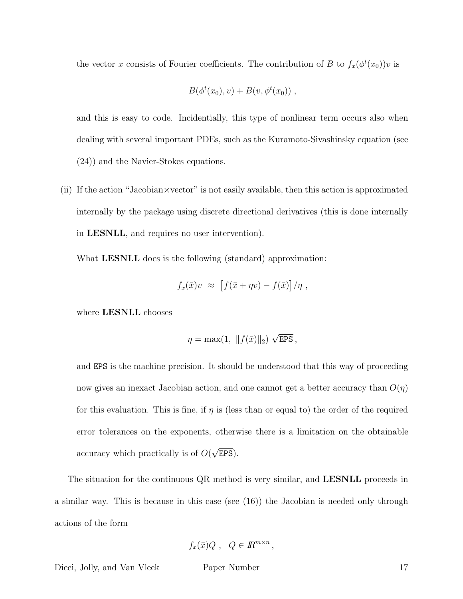the vector x consists of Fourier coefficients. The contribution of B to  $f_x(\phi^t(x_0))v$  is

$$
B(\phi^t(x_0), v) + B(v, \phi^t(x_0)),
$$

and this is easy to code. Incidentially, this type of nonlinear term occurs also when dealing with several important PDEs, such as the Kuramoto-Sivashinsky equation (see (24)) and the Navier-Stokes equations.

(ii) If the action "Jacobian×vector" is not easily available, then this action is approximated internally by the package using discrete directional derivatives (this is done internally in LESNLL, and requires no user intervention).

What **LESNLL** does is the following (standard) approximation:

$$
f_x(\bar{x})v \approx [f(\bar{x} + \eta v) - f(\bar{x})]/\eta,
$$

where LESNLL chooses

$$
\eta = \max(1, \|f(\bar{x})\|_2) \sqrt{\text{EPS}},
$$

and EPS is the machine precision. It should be understood that this way of proceeding now gives an inexact Jacobian action, and one cannot get a better accuracy than  $O(\eta)$ for this evaluation. This is fine, if  $\eta$  is (less than or equal to) the order of the required error tolerances on the exponents, otherwise there is a limitation on the obtainable accuracy which practically is of  $O(\sqrt{\text{EPS}})$ .

The situation for the continuous QR method is very similar, and **LESNLL** proceeds in a similar way. This is because in this case (see (16)) the Jacobian is needed only through actions of the form

$$
f_x(\bar{x})Q , Q \in \mathbb{R}^{m \times n},
$$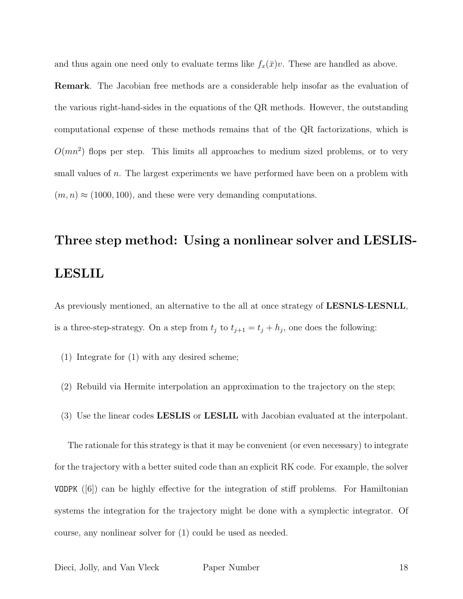and thus again one need only to evaluate terms like  $f_x(\bar{x})v$ . These are handled as above.

Remark. The Jacobian free methods are a considerable help insofar as the evaluation of the various right-hand-sides in the equations of the QR methods. However, the outstanding computational expense of these methods remains that of the QR factorizations, which is  $O(mn^2)$  flops per step. This limits all approaches to medium sized problems, or to very small values of n. The largest experiments we have performed have been on a problem with  $(m, n) \approx (1000, 100)$ , and these were very demanding computations.

# Three step method: Using a nonlinear solver and LESLIS-LESLIL

As previously mentioned, an alternative to the all at once strategy of **LESNLS-LESNLL**, is a three-step-strategy. On a step from  $t_j$  to  $t_{j+1} = t_j + h_j$ , one does the following:

- (1) Integrate for (1) with any desired scheme;
- (2) Rebuild via Hermite interpolation an approximation to the trajectory on the step;
- (3) Use the linear codes LESLIS or LESLIL with Jacobian evaluated at the interpolant.

The rationale for this strategy is that it may be convenient (or even necessary) to integrate for the trajectory with a better suited code than an explicit RK code. For example, the solver VODPK ([6]) can be highly effective for the integration of stiff problems. For Hamiltonian systems the integration for the trajectory might be done with a symplectic integrator. Of course, any nonlinear solver for (1) could be used as needed.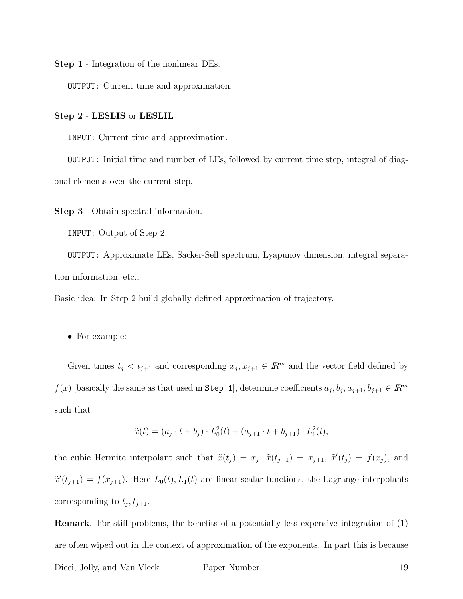Step 1 - Integration of the nonlinear DEs.

OUTPUT: Current time and approximation.

#### Step 2 - LESLIS or LESLIL

INPUT: Current time and approximation.

OUTPUT: Initial time and number of LEs, followed by current time step, integral of diagonal elements over the current step.

Step 3 - Obtain spectral information.

INPUT: Output of Step 2.

OUTPUT: Approximate LEs, Sacker-Sell spectrum, Lyapunov dimension, integral separation information, etc..

Basic idea: In Step 2 build globally defined approximation of trajectory.

• For example:

Given times  $t_j < t_{j+1}$  and corresponding  $x_j, x_{j+1} \in \mathbb{R}^m$  and the vector field defined by  $f(x)$  [basically the same as that used in Step 1], determine coefficients  $a_j, b_j, a_{j+1}, b_{j+1} \in \mathbb{R}^m$ such that

$$
\tilde{x}(t) = (a_j \cdot t + b_j) \cdot L_0^2(t) + (a_{j+1} \cdot t + b_{j+1}) \cdot L_1^2(t),
$$

the cubic Hermite interpolant such that  $\tilde{x}(t_j) = x_j$ ,  $\tilde{x}(t_{j+1}) = x_{j+1}$ ,  $\tilde{x}'(t_j) = f(x_j)$ , and  $\tilde{x}'(t_{j+1}) = f(x_{j+1})$ . Here  $L_0(t), L_1(t)$  are linear scalar functions, the Lagrange interpolants corresponding to  $t_j, t_{j+1}.$ 

Remark. For stiff problems, the benefits of a potentially less expensive integration of (1) are often wiped out in the context of approximation of the exponents. In part this is because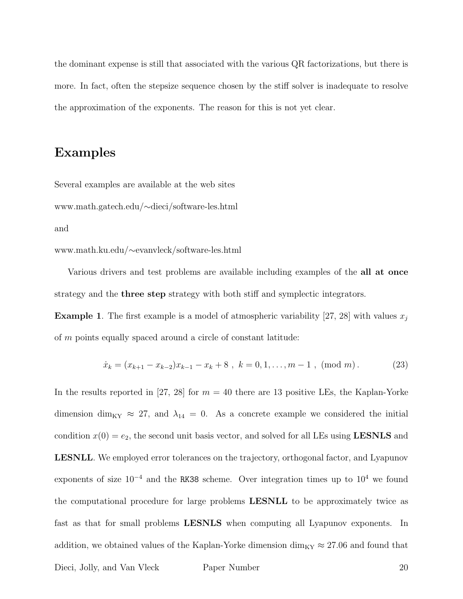the dominant expense is still that associated with the various QR factorizations, but there is more. In fact, often the stepsize sequence chosen by the stiff solver is inadequate to resolve the approximation of the exponents. The reason for this is not yet clear.

### Examples

Several examples are available at the web sites www.math.gatech.edu/∼dieci/software-les.html and

www.math.ku.edu/∼evanvleck/software-les.html

Various drivers and test problems are available including examples of the **all at once** strategy and the three step strategy with both stiff and symplectic integrators.

**Example 1.** The first example is a model of atmospheric variability [27, 28] with values  $x_i$ of m points equally spaced around a circle of constant latitude:

$$
\dot{x}_k = (x_{k+1} - x_{k-2})x_{k-1} - x_k + 8, \ k = 0, 1, ..., m-1, \ (mod \ m). \tag{23}
$$

In the results reported in [27, 28] for  $m = 40$  there are 13 positive LEs, the Kaplan-Yorke dimension dim<sub>KY</sub>  $\approx$  27, and  $\lambda_{14} = 0$ . As a concrete example we considered the initial condition  $x(0) = e_2$ , the second unit basis vector, and solved for all LEs using **LESNLS** and LESNLL. We employed error tolerances on the trajectory, orthogonal factor, and Lyapunov exponents of size  $10^{-4}$  and the RK38 scheme. Over integration times up to  $10^{4}$  we found the computational procedure for large problems LESNLL to be approximately twice as fast as that for small problems LESNLS when computing all Lyapunov exponents. In addition, we obtained values of the Kaplan-Yorke dimension  $\dim_{\text{KY}} \approx 27.06$  and found that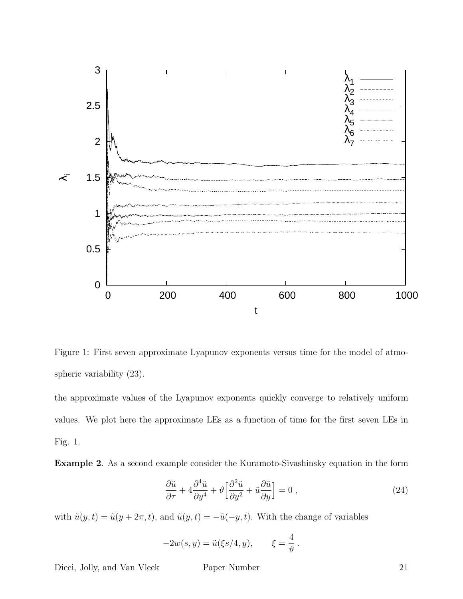

Figure 1: First seven approximate Lyapunov exponents versus time for the model of atmospheric variability (23).

the approximate values of the Lyapunov exponents quickly converge to relatively uniform values. We plot here the approximate LEs as a function of time for the first seven LEs in Fig. 1.

Example 2. As a second example consider the Kuramoto-Sivashinsky equation in the form

$$
\frac{\partial \tilde{u}}{\partial \tau} + 4 \frac{\partial^4 \tilde{u}}{\partial y^4} + \vartheta \left[ \frac{\partial^2 \tilde{u}}{\partial y^2} + \tilde{u} \frac{\partial \tilde{u}}{\partial y} \right] = 0 , \qquad (24)
$$

with  $\tilde{u}(y, t) = \tilde{u}(y + 2\pi, t)$ , and  $\tilde{u}(y, t) = -\tilde{u}(-y, t)$ . With the change of variables

$$
-2w(s, y) = \tilde{u}(\xi s/4, y), \qquad \xi = \frac{4}{\vartheta}.
$$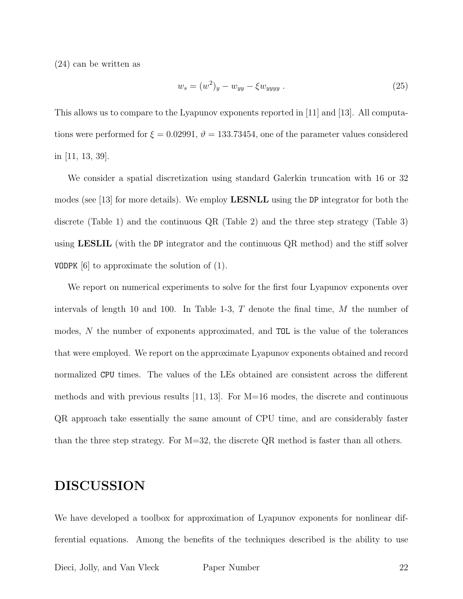(24) can be written as

$$
w_s = (w^2)_y - w_{yy} - \xi w_{yyyy} . \tag{25}
$$

This allows us to compare to the Lyapunov exponents reported in [11] and [13]. All computations were performed for  $\xi = 0.02991$ ,  $\vartheta = 133.73454$ , one of the parameter values considered in [11, 13, 39].

We consider a spatial discretization using standard Galerkin truncation with 16 or 32 modes (see [13] for more details). We employ LESNLL using the DP integrator for both the discrete (Table 1) and the continuous QR (Table 2) and the three step strategy (Table 3) using LESLIL (with the DP integrator and the continuous QR method) and the stiff solver VODPK [6] to approximate the solution of (1).

We report on numerical experiments to solve for the first four Lyapunov exponents over intervals of length 10 and 100. In Table 1-3,  $T$  denote the final time,  $M$  the number of modes, N the number of exponents approximated, and TOL is the value of the tolerances that were employed. We report on the approximate Lyapunov exponents obtained and record normalized CPU times. The values of the LEs obtained are consistent across the different methods and with previous results [11, 13]. For M=16 modes, the discrete and continuous QR approach take essentially the same amount of CPU time, and are considerably faster than the three step strategy. For  $M=32$ , the discrete QR method is faster than all others.

## DISCUSSION

We have developed a toolbox for approximation of Lyapunov exponents for nonlinear differential equations. Among the benefits of the techniques described is the ability to use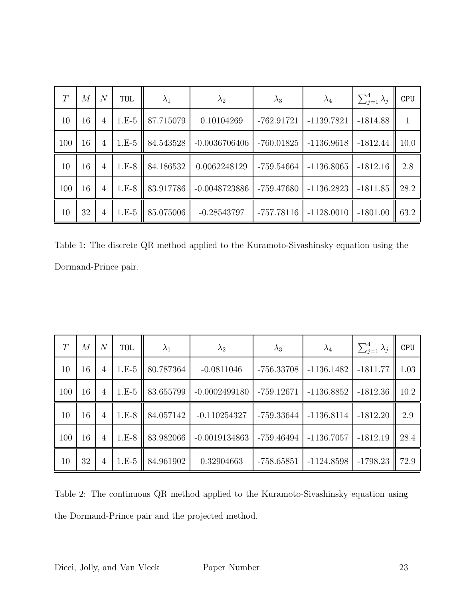| T   | М  | $\overline{N}$ | TOL     | $\lambda_1$ | $\lambda_2$     | $\lambda_3$  | $\lambda_4$  | $\sum_{j=1}^4 \lambda_j$ | <b>CPU</b>   |
|-----|----|----------------|---------|-------------|-----------------|--------------|--------------|--------------------------|--------------|
| 10  | 16 | 4              | $1.E-5$ | 87.715079   | 0.10104269      | $-762.91721$ | $-1139.7821$ | $-1814.88$               | $\mathbf{1}$ |
| 100 | 16 | 4              | $1.E-5$ | 84.543528   | $-0.0036706406$ | $-760.01825$ | $-1136.9618$ | $-1812.44$               | 10.0         |
| 10  | 16 | 4              | $1.E-8$ | 84.186532   | 0.0062248129    | $-759.54664$ | $-1136.8065$ | $-1812.16$               | 2.8          |
| 100 | 16 | $\overline{4}$ | $1.E-8$ | 83.917786   | $-0.0048723886$ | $-759.47680$ | $-1136.2823$ | $-1811.85$               | 28.2         |
| 10  | 32 | 4              | $1.E-5$ | 85.075006   | $-0.28543797$   | $-757.78116$ | $-1128.0010$ | $-1801.00$               | 63.2         |

Table 1: The discrete QR method applied to the Kuramoto-Sivashinsky equation using the Dormand-Prince pair.

| T   | М  | $\mathcal{N}$  | TOL     | $\lambda_1$ | $\lambda_2$     | $\lambda_3$  | $\lambda_4$  | $\sum_{j=1}^4 \lambda_j$ | <b>CPU</b> |
|-----|----|----------------|---------|-------------|-----------------|--------------|--------------|--------------------------|------------|
| 10  | 16 | $\overline{4}$ | $1.E-5$ | 80.787364   | $-0.0811046$    | $-756.33708$ | $-1136.1482$ | $-1811.77$               | 1.03       |
| 100 | 16 | 4              | $1.E-5$ | 83.655799   | $-0.0002499180$ | $-759.12671$ | $-1136.8852$ | $-1812.36$               | 10.2       |
| 10  | 16 | $\overline{4}$ | $1.E-8$ | 84.057142   | $-0.110254327$  | -759.33644   | $-1136.8114$ | $-1812.20$               | 2.9        |
| 100 | 16 | $\overline{4}$ | $1.E-8$ | 83.982066   | $-0.0019134863$ | -759.46494   | $-1136.7057$ | $-1812.19$               | 28.4       |
| 10  | 32 | $\overline{4}$ | $1.E-5$ | 84.961902   | 0.32904663      | $-758.65851$ | $-1124.8598$ | $-1798.23$               | 72.9       |

Table 2: The continuous QR method applied to the Kuramoto-Sivashinsky equation using the Dormand-Prince pair and the projected method.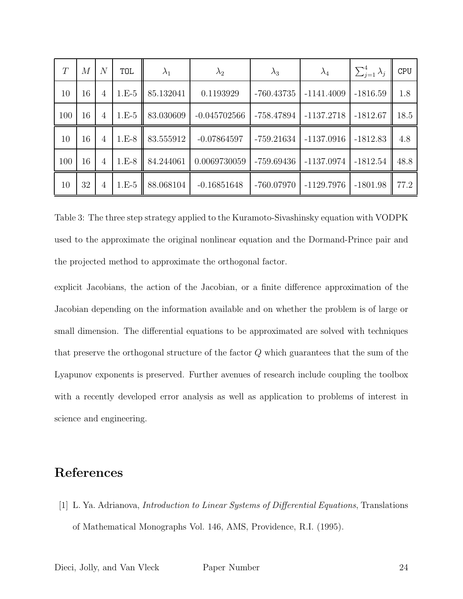| T   | M  | N | <b>TOL</b> | $\lambda_1$ | $\lambda_2$    | $\lambda_3$  | $\lambda_4$  | $\sum_{j=1}^4 \lambda_j$ | <b>CPU</b> |
|-----|----|---|------------|-------------|----------------|--------------|--------------|--------------------------|------------|
| 10  | 16 | 4 | $1.E-5$    | 85.132041   | 0.1193929      | $-760.43735$ | $-1141.4009$ | $-1816.59$               | 1.8        |
| 100 | 16 | 4 | $1.E-5$    | 83.030609   | $-0.045702566$ | -758.47894   | $-1137.2718$ | $-1812.67$               | 18.5       |
| 10  | 16 | 4 | $1.E-8$    | 83.555912   | $-0.07864597$  | $-759.21634$ | $-1137.0916$ | $-1812.83$               | 4.8        |
| 100 | 16 | 4 | $1.E-8$    | 84.244061   | 0.0069730059   | $-759.69436$ | $-1137.0974$ | $-1812.54$               | 48.8       |
| 10  | 32 | 4 | $1.E-5$    | 88.068104   | $-0.16851648$  | $-760.07970$ | $-1129.7976$ | $-1801.98$               | 77.2       |

Table 3: The three step strategy applied to the Kuramoto-Sivashinsky equation with VODPK used to the approximate the original nonlinear equation and the Dormand-Prince pair and the projected method to approximate the orthogonal factor.

explicit Jacobians, the action of the Jacobian, or a finite difference approximation of the Jacobian depending on the information available and on whether the problem is of large or small dimension. The differential equations to be approximated are solved with techniques that preserve the orthogonal structure of the factor Q which guarantees that the sum of the Lyapunov exponents is preserved. Further avenues of research include coupling the toolbox with a recently developed error analysis as well as application to problems of interest in science and engineering.

## References

[1] L. Ya. Adrianova, Introduction to Linear Systems of Differential Equations, Translations of Mathematical Monographs Vol. 146, AMS, Providence, R.I. (1995).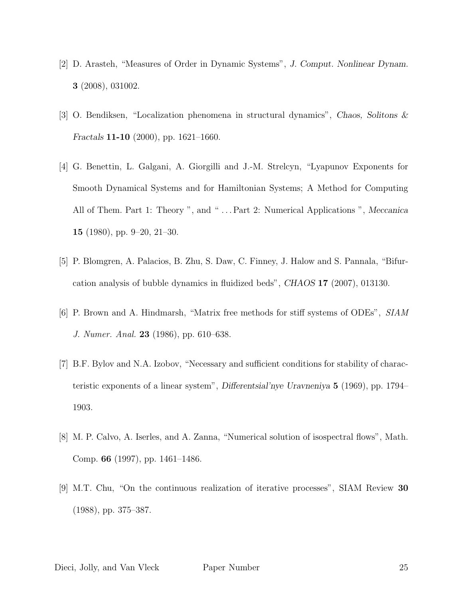- [2] D. Arasteh, "Measures of Order in Dynamic Systems", J. Comput. Nonlinear Dynam. 3 (2008), 031002.
- [3] O. Bendiksen, "Localization phenomena in structural dynamics", Chaos, Solitons & Fractals 11-10 (2000), pp. 1621–1660.
- [4] G. Benettin, L. Galgani, A. Giorgilli and J.-M. Strelcyn, "Lyapunov Exponents for Smooth Dynamical Systems and for Hamiltonian Systems; A Method for Computing All of Them. Part 1: Theory ", and "... Part 2: Numerical Applications ", Meccanica 15 (1980), pp. 9–20, 21–30.
- [5] P. Blomgren, A. Palacios, B. Zhu, S. Daw, C. Finney, J. Halow and S. Pannala, "Bifurcation analysis of bubble dynamics in fluidized beds", CHAOS 17 (2007), 013130.
- [6] P. Brown and A. Hindmarsh, "Matrix free methods for stiff systems of ODEs", SIAM J. Numer. Anal. 23 (1986), pp. 610–638.
- [7] B.F. Bylov and N.A. Izobov, "Necessary and sufficient conditions for stability of characteristic exponents of a linear system", Differentsial'nye Uravneniya 5 (1969), pp. 1794– 1903.
- [8] M. P. Calvo, A. Iserles, and A. Zanna, "Numerical solution of isospectral flows", Math. Comp. 66 (1997), pp. 1461–1486.
- [9] M.T. Chu, "On the continuous realization of iterative processes", SIAM Review 30 (1988), pp. 375–387.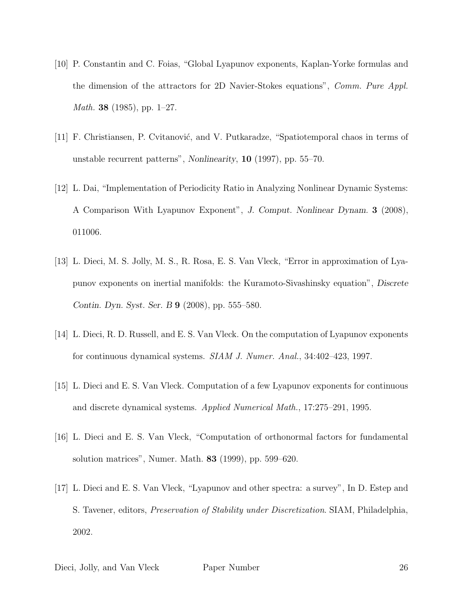- [10] P. Constantin and C. Foias, "Global Lyapunov exponents, Kaplan-Yorke formulas and the dimension of the attractors for 2D Navier-Stokes equations", Comm. Pure Appl. *Math.* **38** (1985), pp. 1–27.
- [11] F. Christiansen, P. Cvitanović, and V. Putkaradze, "Spatiotemporal chaos in terms of unstable recurrent patterns", Nonlinearity, 10 (1997), pp. 55–70.
- [12] L. Dai, "Implementation of Periodicity Ratio in Analyzing Nonlinear Dynamic Systems: A Comparison With Lyapunov Exponent", J. Comput. Nonlinear Dynam. 3 (2008), 011006.
- [13] L. Dieci, M. S. Jolly, M. S., R. Rosa, E. S. Van Vleck, "Error in approximation of Lyapunov exponents on inertial manifolds: the Kuramoto-Sivashinsky equation", Discrete Contin. Dyn. Syst. Ser. B 9 (2008), pp. 555–580.
- [14] L. Dieci, R. D. Russell, and E. S. Van Vleck. On the computation of Lyapunov exponents for continuous dynamical systems. SIAM J. Numer. Anal., 34:402–423, 1997.
- [15] L. Dieci and E. S. Van Vleck. Computation of a few Lyapunov exponents for continuous and discrete dynamical systems. Applied Numerical Math., 17:275–291, 1995.
- [16] L. Dieci and E. S. Van Vleck, "Computation of orthonormal factors for fundamental solution matrices", Numer. Math. 83 (1999), pp. 599–620.
- [17] L. Dieci and E. S. Van Vleck, "Lyapunov and other spectra: a survey", In D. Estep and S. Tavener, editors, Preservation of Stability under Discretization. SIAM, Philadelphia, 2002.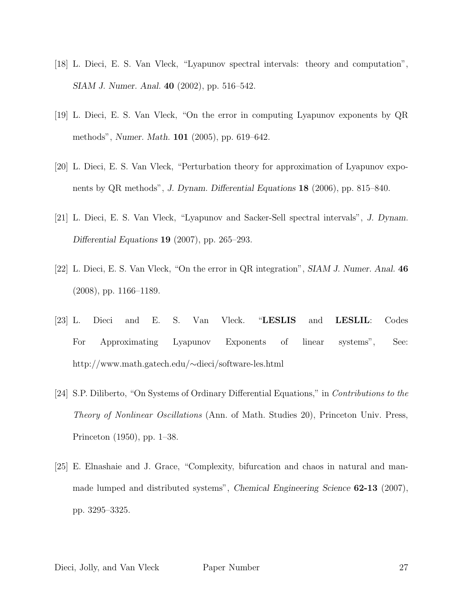- [18] L. Dieci, E. S. Van Vleck, "Lyapunov spectral intervals: theory and computation", SIAM J. Numer. Anal. 40 (2002), pp. 516–542.
- [19] L. Dieci, E. S. Van Vleck, "On the error in computing Lyapunov exponents by QR methods", Numer. Math. 101 (2005), pp. 619–642.
- [20] L. Dieci, E. S. Van Vleck, "Perturbation theory for approximation of Lyapunov exponents by QR methods", J. Dynam. Differential Equations 18 (2006), pp. 815–840.
- [21] L. Dieci, E. S. Van Vleck, "Lyapunov and Sacker-Sell spectral intervals", J. Dynam. Differential Equations 19 (2007), pp. 265–293.
- [22] L. Dieci, E. S. Van Vleck, "On the error in QR integration", SIAM J. Numer. Anal. 46 (2008), pp. 1166–1189.
- [23] L. Dieci and E. S. Van Vleck. "LESLIS and LESLIL: Codes For Approximating Lyapunov Exponents of linear systems", See: http://www.math.gatech.edu/∼dieci/software-les.html
- [24] S.P. Diliberto, "On Systems of Ordinary Differential Equations," in Contributions to the Theory of Nonlinear Oscillations (Ann. of Math. Studies 20), Princeton Univ. Press, Princeton (1950), pp. 1–38.
- [25] E. Elnashaie and J. Grace, "Complexity, bifurcation and chaos in natural and manmade lumped and distributed systems", Chemical Engineering Science 62-13 (2007), pp. 3295–3325.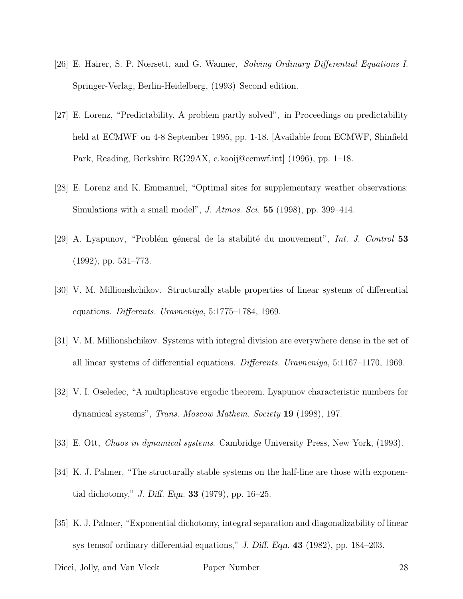- [26] E. Hairer, S. P. Nœrsett, and G. Wanner, Solving Ordinary Differential Equations I. Springer-Verlag, Berlin-Heidelberg, (1993) Second edition.
- [27] E. Lorenz, "Predictability. A problem partly solved", in Proceedings on predictability held at ECMWF on 4-8 September 1995, pp. 1-18. [Available from ECMWF, Shinfield Park, Reading, Berkshire RG29AX, e.kooij@ecmwf.int] (1996), pp. 1–18.
- [28] E. Lorenz and K. Emmanuel, "Optimal sites for supplementary weather observations: Simulations with a small model", J. Atmos. Sci.  $55$  (1998), pp. 399–414.
- [29] A. Lyapunov, "Problém géneral de la stabilité du mouvement", Int. J. Control 53 (1992), pp. 531–773.
- [30] V. M. Millionshchikov. Structurally stable properties of linear systems of differential equations. Differents. Uravneniya, 5:1775–1784, 1969.
- [31] V. M. Millionshchikov. Systems with integral division are everywhere dense in the set of all linear systems of differential equations. Differents. Uravneniya, 5:1167–1170, 1969.
- [32] V. I. Oseledec, "A multiplicative ergodic theorem. Lyapunov characteristic numbers for dynamical systems", Trans. Moscow Mathem. Society 19 (1998), 197.
- [33] E. Ott, Chaos in dynamical systems. Cambridge University Press, New York, (1993).
- [34] K. J. Palmer, "The structurally stable systems on the half-line are those with exponential dichotomy," J. Diff. Eqn. 33 (1979), pp. 16–25.
- [35] K. J. Palmer, "Exponential dichotomy, integral separation and diagonalizability of linear sys temsof ordinary differential equations," J. Diff. Eqn. 43 (1982), pp. 184–203.